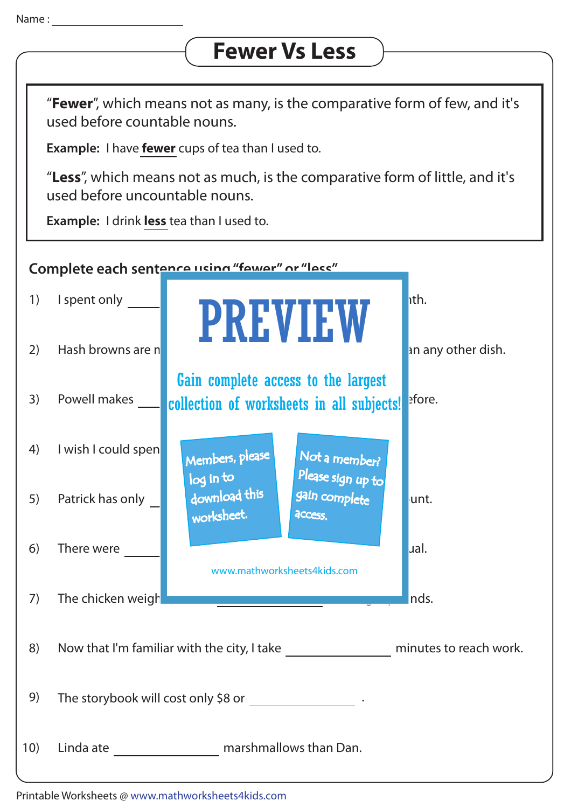## **Fewer Vs Less**

"**Fewer**", which means not as many, is the comparative form of few, and it's used before countable nouns.

**Example:** I have **fewer** cups of tea than I used to.

"**Less**", which means not as much, is the comparative form of little, and it's used before uncountable nouns.

**Example:** I drink **less** tea than I used to.